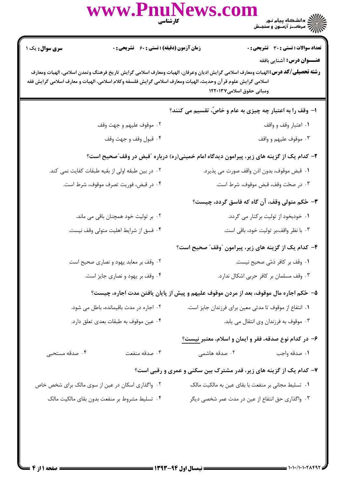|                                                                                          | www.PnuNews.com                                                                                                                                                                                                                                        | <b>کار شناسی</b> | )))))))))))))))) دانشگاه پیام نور<br>)))))))) مرک_ز آزمـون و سنجـش |  |
|------------------------------------------------------------------------------------------|--------------------------------------------------------------------------------------------------------------------------------------------------------------------------------------------------------------------------------------------------------|------------------|--------------------------------------------------------------------|--|
| <b>سری سوال :</b> یک ۱                                                                   | <b>زمان آزمون (دقیقه) : تستی : 60 ٪ تشریحی : 0</b>                                                                                                                                                                                                     |                  | <b>تعداد سوالات : تستی : 30 - تشریحی : 0</b>                       |  |
|                                                                                          | <b>رشته تحصیلی/کد درس:</b> الهیات ومعارف اسلامی گرایش ادیان وعرفان، الهیات ومعارف اسلامی گرایش تاریخ فرهنگ وتمدن اسلامی، الهیات ومعارف<br>اسلامی گرایش علوم قرآن وحدیث، الهیات ومعارف اسلامی گرایش فلسفه وکلام اسلامی، الهیات و معارف اسلامی گرایش فقه |                  | <b>عنـــوان درس:</b> آشنایی بافقه<br>ومبانی حقوق اسلامی۱۲۲۰۱۳۷     |  |
|                                                                                          |                                                                                                                                                                                                                                                        |                  | ۱– وقف را به اعتبار چه چیزی به عام و خاصّ، تقسیم می کنند؟          |  |
|                                                                                          | ۰۲ موقوف عليهم و جهت وقف                                                                                                                                                                                                                               |                  | ۰۱ اعتبار وقف و واقف                                               |  |
|                                                                                          | ۰۴ قبول وقف و جهت وقف                                                                                                                                                                                                                                  |                  | ۰۳ موقوف عليهم و واقف                                              |  |
| ۲- کدام یک از گزینه های زیر، پیرامون دیدگاه امام خمینی(ره) درباره آقبض در وقف ؒصحیح است؟ |                                                                                                                                                                                                                                                        |                  |                                                                    |  |
|                                                                                          | ۰۲ در بین طبقه اولی از بقیه طبقات کفایت نمی کند.                                                                                                                                                                                                       |                  | ٠١ قبض موقوف، بدون اذن واقف صورت مي پذيرد.                         |  |
|                                                                                          | ۰۴ در قبض، فوريت تصرف موقوف، شرط است.                                                                                                                                                                                                                  |                  | ۰۳ در صحّت وقف، قبض موقوف، شرط است.                                |  |
|                                                                                          |                                                                                                                                                                                                                                                        |                  | ۳- حُکم متولی وقف، آن گاه که فاسق گردد، چیست؟                      |  |
|                                                                                          | ۰۲ بر تولیت خود همچنان باقی می ماند.                                                                                                                                                                                                                   |                  | ۰۱ خودبخود از تولیت برکنار می گردد.                                |  |
|                                                                                          | ۰۴ فسق از شرایط اهلیت متولی وقف نیست.                                                                                                                                                                                                                  |                  | ۰۳ با نظر واقف،بر تولیت خود، باقی است.                             |  |
|                                                                                          |                                                                                                                                                                                                                                                        |                  | ۴- کدام یک از گزینه های زیر، پیرامون "وقف" صحیح است؟               |  |
|                                                                                          | ۰۲ وقف بر معابد یهود و نصاری صحیح است                                                                                                                                                                                                                  |                  | ٠١. وقف بر كافر ذمّى صحيح نيست.                                    |  |
|                                                                                          | ۰۴ وقف بر یهود و نصاری جایز است.                                                                                                                                                                                                                       |                  | ۰۳ وقف مسلمان بر کافر حربی اشکال ندارد.                            |  |
|                                                                                          | ۵– حُکم اجاره مال موقوف، بعد از مردن موقوف علیهم و پیش از پایان یافتن مدت اجاره، چیست؟                                                                                                                                                                 |                  |                                                                    |  |
|                                                                                          | ۰۲ اجاره در مدت باقیمانده، باطل می شود.                                                                                                                                                                                                                |                  | ٠١ انتفاع از موقوف تا مدتى معين براى فرزندان جايز است.             |  |
|                                                                                          | ۰۴ عین موقوف به طبقات بعدی تعلق دارد.                                                                                                                                                                                                                  |                  | ۰۳ موقوف به فرزندان وی انتقال می یابد.                             |  |
|                                                                                          |                                                                                                                                                                                                                                                        |                  | ۶– در کدام نوع صدقه، فقر و ایمان و اسلام، معتبر نیست؟              |  |
| ۰۴ صدقه مستحبی                                                                           | ۰۳ صدقه منفعت                                                                                                                                                                                                                                          | ۰۲ صدقه هاشمی    | ۰۱ صدقه واجب                                                       |  |
|                                                                                          |                                                                                                                                                                                                                                                        |                  | ۷- کدام یک از گزینه های زیر، قدر مشترک بین سکنی و عمری و رقبی است؟ |  |
|                                                                                          | ۰۲ واگذاری اسکان در عین از سوی مالک برای شخص خاص                                                                                                                                                                                                       |                  | ۰۱ تسلیط مجانی بر منفعت با بقای عین به مالکیت مالک                 |  |
|                                                                                          | ۰۴ تسلیط مشروط بر منفعت بدون بقای مالکیت مالک                                                                                                                                                                                                          |                  | ۰۳ واگذاری حق انتفاع از عین در مدت عمر شخصی دیگر                   |  |
|                                                                                          |                                                                                                                                                                                                                                                        |                  |                                                                    |  |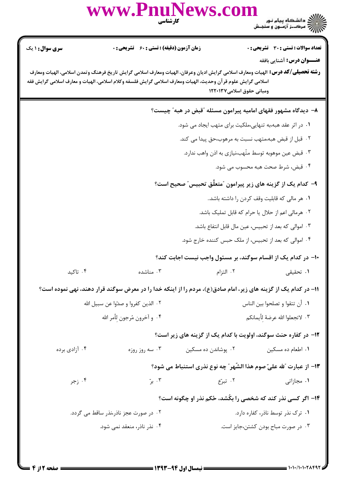|                                                                                                                                                                                                                                                                                                                          | www.PnuNews.com<br>كارشناسي                                                                                    |                                   |                                                                     |  |  |
|--------------------------------------------------------------------------------------------------------------------------------------------------------------------------------------------------------------------------------------------------------------------------------------------------------------------------|----------------------------------------------------------------------------------------------------------------|-----------------------------------|---------------------------------------------------------------------|--|--|
| سری سوال: ۱ یک                                                                                                                                                                                                                                                                                                           | <b>زمان آزمون (دقیقه) : تستی : 60 ٪ تشریحی : 0</b>                                                             |                                   | <b>تعداد سوالات : تستی : 30 ٪ تشریحی : 0</b>                        |  |  |
| <b>عنـــوان درس:</b> آشنایی بافقه<br><b>رشته تحصیلی/کد درس:</b> الهیات ومعارف اسلامی گرایش ادیان وعرفان، الهیات ومعارف اسلامی گرایش تاریخ فرهنگ وتمدن اسلامی، الهیات ومعارف<br>اسلامی گرایش علوم قرآن وحدیث، الهیات ومعارف اسلامی گرایش فلسفه وکلام اسلامی، الهیات و معارف اسلامی گرایش فقه<br>ومبانی حقوق اسلامی۱۲۲۰۱۳۷ |                                                                                                                |                                   |                                                                     |  |  |
|                                                                                                                                                                                                                                                                                                                          |                                                                                                                |                                   | ۸– دیدگاه مشهور فقهای امامیه پیرامون مسئله "قبض در هبه" چیست؟       |  |  |
|                                                                                                                                                                                                                                                                                                                          | ۰۱ در اثر عقد هبه،به تنهایی،ملکیت برای متهب ایجاد می شود.                                                      |                                   |                                                                     |  |  |
| ۰۲ قبل از قبض هبه،متهب نسبت به مرهوب،حق پیدا می کند.                                                                                                                                                                                                                                                                     |                                                                                                                |                                   |                                                                     |  |  |
| ۰۳ قبض عین موهوبه توسط متّهب،نیازی به اذن واهب ندارد.                                                                                                                                                                                                                                                                    |                                                                                                                |                                   |                                                                     |  |  |
|                                                                                                                                                                                                                                                                                                                          |                                                                                                                |                                   | ۰۴ قبض، شرط صحت هبه محسوب می شود.                                   |  |  |
|                                                                                                                                                                                                                                                                                                                          | ۹- کدام یک از گزینه های زیر پیرامون "متعلّق تحبیس" صحیح است؟                                                   |                                   |                                                                     |  |  |
|                                                                                                                                                                                                                                                                                                                          |                                                                                                                |                                   | ٠١ هر مالي كه قابليت وقف كردن را داشته باشد                         |  |  |
|                                                                                                                                                                                                                                                                                                                          |                                                                                                                |                                   | ۰۲ هرمالی اعم از حلال یا حرام که قابل تملیک باشد.                   |  |  |
|                                                                                                                                                                                                                                                                                                                          |                                                                                                                |                                   | ۰۳ اموالی که بعد از تحبیس، عین مال قابل انتفاع باشد.                |  |  |
|                                                                                                                                                                                                                                                                                                                          |                                                                                                                |                                   | ۰۴ اموالی که بعد از تحبیس، از ملک حبس کننده خارج شود.               |  |  |
|                                                                                                                                                                                                                                                                                                                          |                                                                                                                |                                   | ۱۰– در کدام یک از اقسام سوگند، بر مسئول واجب نیست اجابت کند؟        |  |  |
| ۰۴ تاکید                                                                                                                                                                                                                                                                                                                 | ۰۳ مناشده                                                                                                      | ۰۲ التزام                         | ٠١ تحقيقى                                                           |  |  |
|                                                                                                                                                                                                                                                                                                                          | 11– در کدام یک از گزینه های زیر، امام صادق(ع)، مردم را از اینکه خدا را در معرض سوگند قرار دهند، نهی نموده است؟ |                                   |                                                                     |  |  |
|                                                                                                                                                                                                                                                                                                                          | ٠٢ الذين كفروا و صدّوا عن سبيل الله                                                                            | ٠١. أن تتقوا و تصلحوا بين الناس   |                                                                     |  |  |
| ۰۴ و آخرون مُرجون لأمر الله                                                                                                                                                                                                                                                                                              |                                                                                                                |                                   | ٠٣ لاتجعلوا الله عرضهٔ لأيمانكم                                     |  |  |
|                                                                                                                                                                                                                                                                                                                          |                                                                                                                |                                   | ۱۲- در کفاره حنث سوگند، اولویت با کدام یک از گزینه های زیر است؟     |  |  |
| ۰۴ آزادی برده                                                                                                                                                                                                                                                                                                            | ۰۳ سه روز روزه                                                                                                 | ۰۲ پوشاندن ده مسکین               | ۰۱ اطعام ده مسکین                                                   |  |  |
|                                                                                                                                                                                                                                                                                                                          |                                                                                                                |                                   | ۱۳– از عبارت آلله عليّ صوم هذا الشّهر ؒ چه نوع نذري استنباط مي شود؟ |  |  |
| ۰۴ زجر                                                                                                                                                                                                                                                                                                                   | ۰۳ برّ                                                                                                         | ۰۲ تبرّع                          | ۰۱ مجازاتی                                                          |  |  |
|                                                                                                                                                                                                                                                                                                                          |                                                                                                                |                                   | ۱۴- اگر کسی نذر کند که شخصی را بکُشد، حُکم نذر او چگونه است؟        |  |  |
|                                                                                                                                                                                                                                                                                                                          | ۰۲ در صورت عجز ناذر،نذر ساقط می گردد.                                                                          | ۰۱ ترک نذر توسط ناذر، کفاره دارد. |                                                                     |  |  |
| ۰۴ نذر ناذر، منعقد نمی شود.                                                                                                                                                                                                                                                                                              |                                                                                                                |                                   | ۰۳ در صورت مباح بودن کشتن،جایز است.                                 |  |  |
|                                                                                                                                                                                                                                                                                                                          |                                                                                                                |                                   |                                                                     |  |  |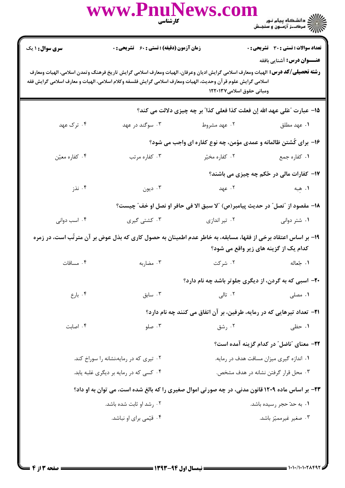|                        | www.PnuNews.com                                                                                                                                                                                                                                        | <b>کارشناسی</b><br>ا                                                          | ) دانشگاه پیام نور<br>) از دانشگاه پیام نور<br>) ( ) مرکــز آزمــون و سنجـش |
|------------------------|--------------------------------------------------------------------------------------------------------------------------------------------------------------------------------------------------------------------------------------------------------|-------------------------------------------------------------------------------|-----------------------------------------------------------------------------|
| <b>سری سوال : ۱ یک</b> | زمان آزمون (دقیقه) : تستی : 60 ٪ تشریحی : 0                                                                                                                                                                                                            |                                                                               | <b>تعداد سوالات : تستی : 30 ٪ تشریحی : 0</b>                                |
|                        | <b>رشته تحصیلی/گد درس:</b> الهیات ومعارف اسلامی گرایش ادیان وعرفان، الهیات ومعارف اسلامی گرایش تاریخ فرهنگ وتمدن اسلامی، الهیات ومعارف<br>اسلامی گرایش علوم قرآن وحدیث، الهیات ومعارف اسلامی گرایش فلسفه وکلام اسلامی، الهیات و معارف اسلامی گرایش فقه | ومبانی حقوق اسلامی۱۲۲۰۱۳۷                                                     | <b>عنـــوان درس:</b> آشنایی بافقه                                           |
|                        |                                                                                                                                                                                                                                                        | 15- عبارت "عَلى عهد الله إن فعلت كذا فعلى كذا" بر چه چيزي دلالت مي كند؟       |                                                                             |
| ۰۴ ترک عهد             | ۰۳ سوگند در عهد                                                                                                                                                                                                                                        | ۰۲ عهد مشروط                                                                  | ۰۱ عهد مطلق                                                                 |
|                        |                                                                                                                                                                                                                                                        | ۱۶- برای کُشتن ظالمانه و عمدی مؤمن، چه نوع کفاره ای واجب می شود؟              |                                                                             |
| ۰۴ كفاره معيّن         | ۰۳ کفاره مرتب                                                                                                                                                                                                                                          | ۰۲ کفاره مخیّر                                                                | ۰۱ کفاره جمع                                                                |
|                        |                                                                                                                                                                                                                                                        |                                                                               | 17- کفارات مالی در حُکم چه چیزی می باشند؟                                   |
| ۰۴ نذز                 | ۰۳ ديون                                                                                                                                                                                                                                                | ۰۲ عهد                                                                        | ١. هبه                                                                      |
|                        |                                                                                                                                                                                                                                                        | 18– مقصود از "نصل" در حديث پيامبر(ص) "لا سبق الا في حافر او نصل او خف" چيست؟  |                                                                             |
| ۰۴ اسب دوانی           | ۰۳ کشتی گیری                                                                                                                                                                                                                                           | ۰۲ تیر اندازی                                                                 | ۰۱ شتر دوانی                                                                |
|                        | ۱۹– بر اساس اعتقاد برخی از فقها، مسابقه، به خاطر عدم اطمینان به حصول کاری که بذل عوض بر آن مترتّب است، در زمره                                                                                                                                         |                                                                               | کدام یک از گزینه های زیر واقع می شود؟                                       |
| ۰۴ مساقات              | ۰۳ مضاربه                                                                                                                                                                                                                                              | ۰۲ شرکت                                                                       | ١. جُعاله                                                                   |
|                        |                                                                                                                                                                                                                                                        | <b>۲۰</b> - اسبی که به گردن، از دیگری جلوتر باشد چه نام دارد؟                 |                                                                             |
| ۰۴ بارع                | اسابق $\cdot$                                                                                                                                                                                                                                          | ۰۲ تالی                                                                       | ۰۱ مصلی                                                                     |
|                        |                                                                                                                                                                                                                                                        | <b>ا۲− تعداد تیرهایی که در رمایه، طرفین، بر آن اتفاق می کنند چه نام دارد؟</b> |                                                                             |
| ۰۴ اصابت               | ۰۳ صلو                                                                                                                                                                                                                                                 | ۰۲ رشق                                                                        | ۰۱ حظی                                                                      |
|                        |                                                                                                                                                                                                                                                        |                                                                               | ۲۲- معنای "ناضل" در کدام گزینه آمده است؟                                    |
|                        | ۰۲ تیری که در رمایه،نشانه را سوراخ کند.                                                                                                                                                                                                                |                                                                               | ٠١. اندازه گيري ميزان مسافت هدف در رمايه.                                   |
|                        | ۰۴ کسی که در رمایه بر دیگری غلبه پابد.                                                                                                                                                                                                                 |                                                                               | ۰۳ محل قرار گرفتن نشانه در هدف مشخص.                                        |
|                        | ۲۳- بر اساس ماده ۱۲۰۹ قانون مدنی، در چه صورتی اموال صغیری را که بالغ شده است، می توان به او داد؟                                                                                                                                                       |                                                                               |                                                                             |
|                        | ۰۲ رشد او ثابت شده باشد.                                                                                                                                                                                                                               |                                                                               | ۰۱ به حدّ حجر رسیده باشد.                                                   |
|                        | ۰۴ قیّمی برای او نباشد.                                                                                                                                                                                                                                |                                                                               | ۰۳ صغیر غیرممیّز باشد.                                                      |